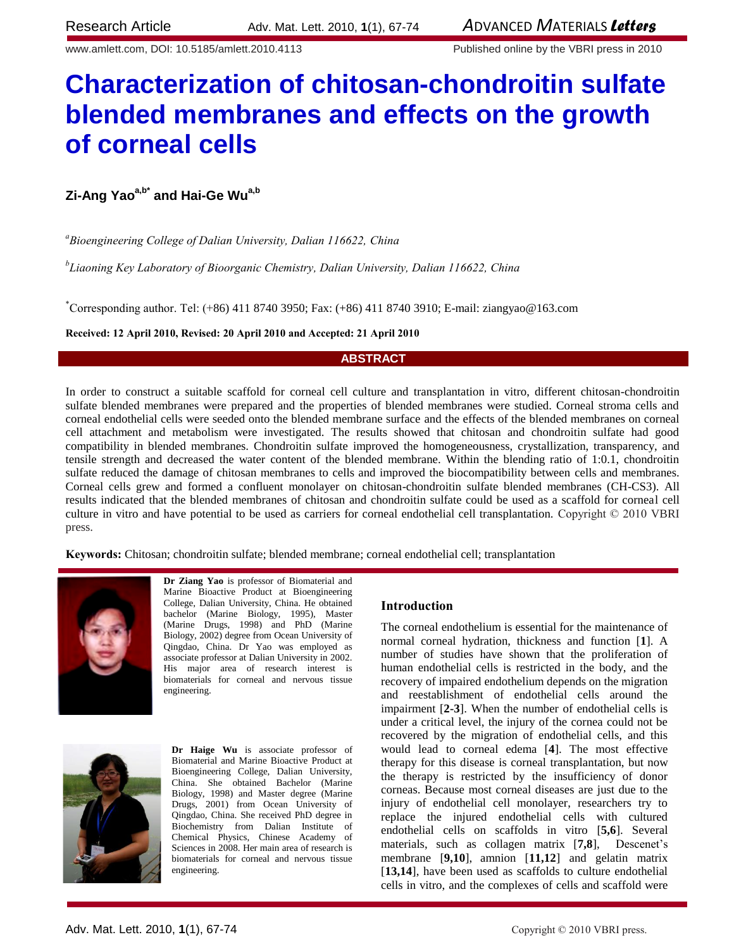www.amlett.com, DOI: 10.5185/amlett.2010.4113 Published online by the VBRI press in 2010

# **Characterization of chitosan-chondroitin sulfate blended membranes and effects on the growth of corneal cells**

# **Zi-Ang Yaoa,b\* and Hai-Ge Wua,b**

*<sup>a</sup>Bioengineering College of Dalian University, Dalian 116622, China*

*b Liaoning Key Laboratory of Bioorganic Chemistry, Dalian University, Dalian 116622, China*

\*Corresponding author. Tel: (+86) 411 8740 3950; Fax: (+86) 411 8740 3910; E-mail: ziangyao@163.com

### **Received: 12 April 2010, Revised: 20 April 2010 and Accepted: 21 April 2010**

# **ABSTRACT**

In order to construct a suitable scaffold for corneal cell culture and transplantation in vitro, different chitosan-chondroitin sulfate blended membranes were prepared and the properties of blended membranes were studied. Corneal stroma cells and corneal endothelial cells were seeded onto the blended membrane surface and the effects of the blended membranes on corneal cell attachment and metabolism were investigated. The results showed that chitosan and chondroitin sulfate had good compatibility in blended membranes. Chondroitin sulfate improved the homogeneousness, crystallization, transparency, and tensile strength and decreased the water content of the blended membrane. Within the blending ratio of 1:0.1, chondroitin sulfate reduced the damage of chitosan membranes to cells and improved the biocompatibility between cells and membranes. Corneal cells grew and formed a confluent monolayer on chitosan-chondroitin sulfate blended membranes (CH-CS3). All results indicated that the blended membranes of chitosan and chondroitin sulfate could be used as a scaffold for corneal cell culture in vitro and have potential to be used as carriers for corneal endothelial cell transplantation. Copyright © 2010 VBRI press.

**Keywords:** Chitosan; chondroitin sulfate; blended membrane; corneal endothelial cell; transplantation



**Dr Ziang Yao** is professor of Biomaterial and Marine Bioactive Product at Bioengineering College, Dalian University, China. He obtained bachelor (Marine Biology, 1995), Master (Marine Drugs, 1998) and PhD (Marine Biology, 2002) degree from Ocean University of Qingdao, China. Dr Yao was employed as associate professor at Dalian University in 2002. His major area of research interest is biomaterials for corneal and nervous tissue engineering.



**Dr Haige Wu** is associate professor of Biomaterial and Marine Bioactive Product at Bioengineering College, Dalian University, China. She obtained Bachelor (Marine Biology, 1998) and Master degree (Marine Drugs, 2001) from Ocean University of Qingdao, China. She received PhD degree in Biochemistry from Dalian Institute of Chemical Physics, Chinese Academy of Sciences in 2008. Her main area of research is biomaterials for corneal and nervous tissue engineering.

### **Introduction**

The corneal endothelium is essential for the maintenance of normal corneal hydration, thickness and function [**1**]. A number of studies have shown that the proliferation of human endothelial cells is restricted in the body, and the recovery of impaired endothelium depends on the migration and reestablishment of endothelial cells around the impairment [**2-3**]. When the number of endothelial cells is under a critical level, the injury of the cornea could not be recovered by the migration of endothelial cells, and this would lead to corneal edema [**4**]. The most effective therapy for this disease is corneal transplantation, but now the therapy is restricted by the insufficiency of donor corneas. Because most corneal diseases are just due to the injury of endothelial cell monolayer, researchers try to replace the injured endothelial cells with cultured endothelial cells on scaffolds in vitro [**5,6**]. Several materials, such as collagen matrix [**7,8**], Descenet's membrane [**9,10**], amnion [**11,12**] and gelatin matrix [13,14], have been used as scaffolds to culture endothelial cells in vitro, and the complexes of cells and scaffold were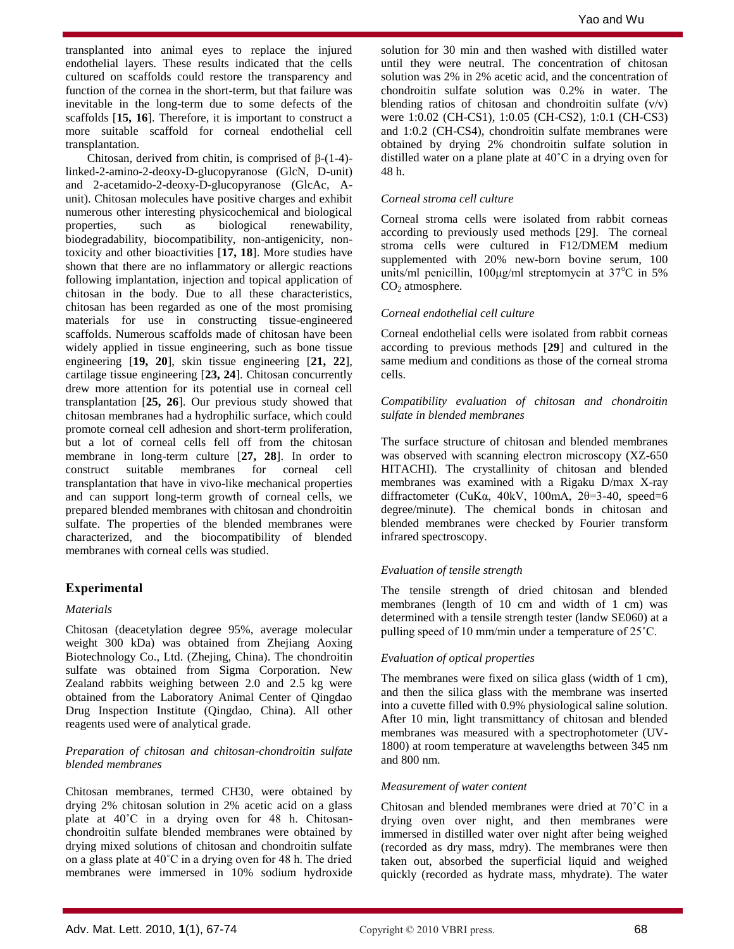transplanted into animal eyes to replace the injured endothelial layers. These results indicated that the cells cultured on scaffolds could restore the transparency and function of the cornea in the short-term, but that failure was inevitable in the long-term due to some defects of the scaffolds [**15, 16**]. Therefore, it is important to construct a more suitable scaffold for corneal endothelial cell transplantation.

Chitosan, derived from chitin, is comprised of β-(1-4) linked-2-amino-2-deoxy-D-glucopyranose (GlcN, D-unit) and 2-acetamido-2-deoxy-D-glucopyranose (GlcAc, Aunit). Chitosan molecules have positive charges and exhibit numerous other interesting physicochemical and biological properties, such as biological renewability, biodegradability, biocompatibility, non-antigenicity, nontoxicity and other bioactivities [**17, 18**]. More studies have shown that there are no inflammatory or allergic reactions following implantation, injection and topical application of chitosan in the body. Due to all these characteristics, chitosan has been regarded as one of the most promising materials for use in constructing tissue-engineered scaffolds. Numerous scaffolds made of chitosan have been widely applied in tissue engineering, such as bone tissue engineering [**19, 20**], skin tissue engineering [**21, 22**], cartilage tissue engineering [**23, 24**]. Chitosan concurrently drew more attention for its potential use in corneal cell transplantation [**25, 26**]. Our previous study showed that chitosan membranes had a hydrophilic surface, which could promote corneal cell adhesion and short-term proliferation, but a lot of corneal cells fell off from the chitosan membrane in long-term culture [**27, 28**]. In order to construct suitable membranes for corneal cell transplantation that have in vivo-like mechanical properties and can support long-term growth of corneal cells, we prepared blended membranes with chitosan and chondroitin sulfate. The properties of the blended membranes were characterized, and the biocompatibility of blended membranes with corneal cells was studied.

### **Experimental**

### *Materials*

Chitosan (deacetylation degree 95%, average molecular weight 300 kDa) was obtained from Zhejiang Aoxing Biotechnology Co., Ltd. (Zhejing, China). The chondroitin sulfate was obtained from Sigma Corporation. New Zealand rabbits weighing between 2.0 and 2.5 kg were obtained from the Laboratory Animal Center of Qingdao Drug Inspection Institute (Qingdao, China). All other reagents used were of analytical grade.

### *Preparation of chitosan and chitosan-chondroitin sulfate blended membranes*

Chitosan membranes, termed CH30, were obtained by drying 2% chitosan solution in 2% acetic acid on a glass plate at 40˚C in a drying oven for 48 h. Chitosanchondroitin sulfate blended membranes were obtained by drying mixed solutions of chitosan and chondroitin sulfate on a glass plate at 40˚C in a drying oven for 48 h. The dried membranes were immersed in 10% sodium hydroxide

solution for 30 min and then washed with distilled water until they were neutral. The concentration of chitosan solution was 2% in 2% acetic acid, and the concentration of chondroitin sulfate solution was 0.2% in water. The blending ratios of chitosan and chondroitin sulfate  $(v/v)$ were 1:0.02 (CH-CS1), 1:0.05 (CH-CS2), 1:0.1 (CH-CS3) and 1:0.2 (CH-CS4), chondroitin sulfate membranes were obtained by drying 2% chondroitin sulfate solution in distilled water on a plane plate at 40˚C in a drying oven for 48 h.

### *Corneal stroma cell culture*

Corneal stroma cells were isolated from rabbit corneas according to previously used methods [29]. The corneal stroma cells were cultured in F12/DMEM medium supplemented with 20% new-born bovine serum, 100 units/ml penicillin,  $100\mu\text{g/ml}$  streptomycin at  $37^{\circ}\text{C}$  in 5%  $CO<sub>2</sub>$  atmosphere.

### *Corneal endothelial cell culture*

Corneal endothelial cells were isolated from rabbit corneas according to previous methods [**29**] and cultured in the same medium and conditions as those of the corneal stroma cells.

### *Compatibility evaluation of chitosan and chondroitin sulfate in blended membranes*

The surface structure of chitosan and blended membranes was observed with scanning electron microscopy (XZ-650 HITACHI). The crystallinity of chitosan and blended membranes was examined with a Rigaku D/max X-ray diffractometer (CuK $\alpha$ , 40kV, 100mA, 2 $\theta$ =3-40, speed=6 degree/minute). The chemical bonds in chitosan and blended membranes were checked by Fourier transform infrared spectroscopy.

### *Evaluation of tensile strength*

The tensile strength of dried chitosan and blended membranes (length of 10 cm and width of 1 cm) was determined with a tensile strength tester (landw SE060) at a pulling speed of 10 mm/min under a temperature of 25˚C.

### *Evaluation of optical properties*

The membranes were fixed on silica glass (width of 1 cm), and then the silica glass with the membrane was inserted into a cuvette filled with 0.9% physiological saline solution. After 10 min, light transmittancy of chitosan and blended membranes was measured with a spectrophotometer (UV-1800) at room temperature at wavelengths between 345 nm and 800 nm.

### *Measurement of water content*

Chitosan and blended membranes were dried at 70˚C in a drying oven over night, and then membranes were immersed in distilled water over night after being weighed (recorded as dry mass, mdry). The membranes were then taken out, absorbed the superficial liquid and weighed quickly (recorded as hydrate mass, mhydrate). The water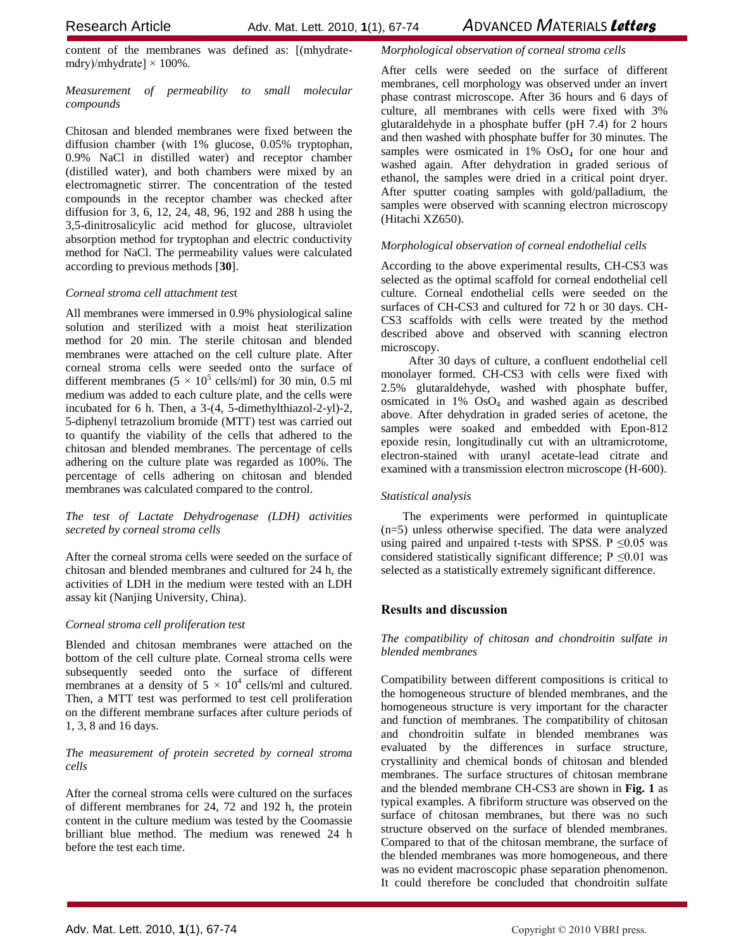Research ArticleAdv. Mat. Lett. 2010, **1**(1), 67-74 *A*DVANCED *M*ATERIALS *Letters*

content of the membranes was defined as: [(mhydratemdry)/mhydrate]  $\times$  100%.

*Measurement of permeability to small molecular compounds*

Chitosan and blended membranes were fixed between the diffusion chamber (with 1% glucose, 0.05% tryptophan, 0.9% NaCl in distilled water) and receptor chamber (distilled water), and both chambers were mixed by an electromagnetic stirrer. The concentration of the tested compounds in the receptor chamber was checked after diffusion for 3, 6, 12, 24, 48, 96, 192 and 288 h using the 3,5-dinitrosalicylic acid method for glucose, ultraviolet absorption method for tryptophan and electric conductivity method for NaCl. The permeability values were calculated according to previous methods [**30**].

# *Corneal stroma cell attachment tes*t

All membranes were immersed in 0.9% physiological saline solution and sterilized with a moist heat sterilization method for 20 min. The sterile chitosan and blended membranes were attached on the cell culture plate. After corneal stroma cells were seeded onto the surface of different membranes  $(5 \times 10^5 \text{ cells/ml})$  for 30 min, 0.5 ml medium was added to each culture plate, and the cells were incubated for 6 h. Then, a 3-(4, 5-dimethylthiazol-2-yl)-2, 5-diphenyl tetrazolium bromide (MTT) test was carried out to quantify the viability of the cells that adhered to the chitosan and blended membranes. The percentage of cells adhering on the culture plate was regarded as 100%. The percentage of cells adhering on chitosan and blended membranes was calculated compared to the control.

# *The test of Lactate Dehydrogenase (LDH) activities secreted by corneal stroma cells*

After the corneal stroma cells were seeded on the surface of chitosan and blended membranes and cultured for 24 h, the activities of LDH in the medium were tested with an LDH assay kit (Nanjing University, China).

# *Corneal stroma cell proliferation test*

Blended and chitosan membranes were attached on the bottom of the cell culture plate. Corneal stroma cells were subsequently seeded onto the surface of different membranes at a density of  $5 \times 10^4$  cells/ml and cultured. Then, a MTT test was performed to test cell proliferation on the different membrane surfaces after culture periods of 1, 3, 8 and 16 days.

# *The measurement of protein secreted by corneal stroma cells*

After the corneal stroma cells were cultured on the surfaces of different membranes for 24, 72 and 192 h, the protein content in the culture medium was tested by the Coomassie brilliant blue method. The medium was renewed 24 h before the test each time.

# *Morphological observation of corneal stroma cells*

After cells were seeded on the surface of different membranes, cell morphology was observed under an invert phase contrast microscope. After 36 hours and 6 days of culture, all membranes with cells were fixed with 3% glutaraldehyde in a phosphate buffer (pH 7.4) for 2 hours and then washed with phosphate buffer for 30 minutes. The samples were osmicated in 1% OsO<sub>4</sub> for one hour and washed again. After dehydration in graded serious of ethanol, the samples were dried in a critical point dryer. After sputter coating samples with gold/palladium, the samples were observed with scanning electron microscopy (Hitachi XZ650).

# *Morphological observation of corneal endothelial cells*

According to the above experimental results, CH-CS3 was selected as the optimal scaffold for corneal endothelial cell culture. Corneal endothelial cells were seeded on the surfaces of CH-CS3 and cultured for 72 h or 30 days. CH-CS3 scaffolds with cells were treated by the method described above and observed with scanning electron microscopy.

 After 30 days of culture, a confluent endothelial cell monolayer formed. CH-CS3 with cells were fixed with 2.5% glutaraldehyde, washed with phosphate buffer, osmicated in  $1\%$  OsO<sub>4</sub> and washed again as described above. After dehydration in graded series of acetone, the samples were soaked and embedded with Epon-812 epoxide resin, longitudinally cut with an ultramicrotome, electron-stained with uranyl acetate-lead citrate and examined with a transmission electron microscope (H-600).

### *Statistical analysis*

The experiments were performed in quintuplicate (n=5) unless otherwise specified. The data were analyzed using paired and unpaired t-tests with SPSS. P  $\leq 0.05$  was considered statistically significant difference;  $P \le 0.01$  was selected as a statistically extremely significant difference.

# **Results and discussion**

*The compatibility of chitosan and chondroitin sulfate in blended membranes*

Compatibility between different compositions is critical to the homogeneous structure of blended membranes, and the homogeneous structure is very important for the character and function of membranes. The compatibility of chitosan and chondroitin sulfate in blended membranes was evaluated by the differences in surface structure, crystallinity and chemical bonds of chitosan and blended membranes. The surface structures of chitosan membrane and the blended membrane CH-CS3 are shown in **Fig. 1** as typical examples. A fibriform structure was observed on the surface of chitosan membranes, but there was no such structure observed on the surface of blended membranes. Compared to that of the chitosan membrane, the surface of the blended membranes was more homogeneous, and there was no evident macroscopic phase separation phenomenon. It could therefore be concluded that chondroitin sulfate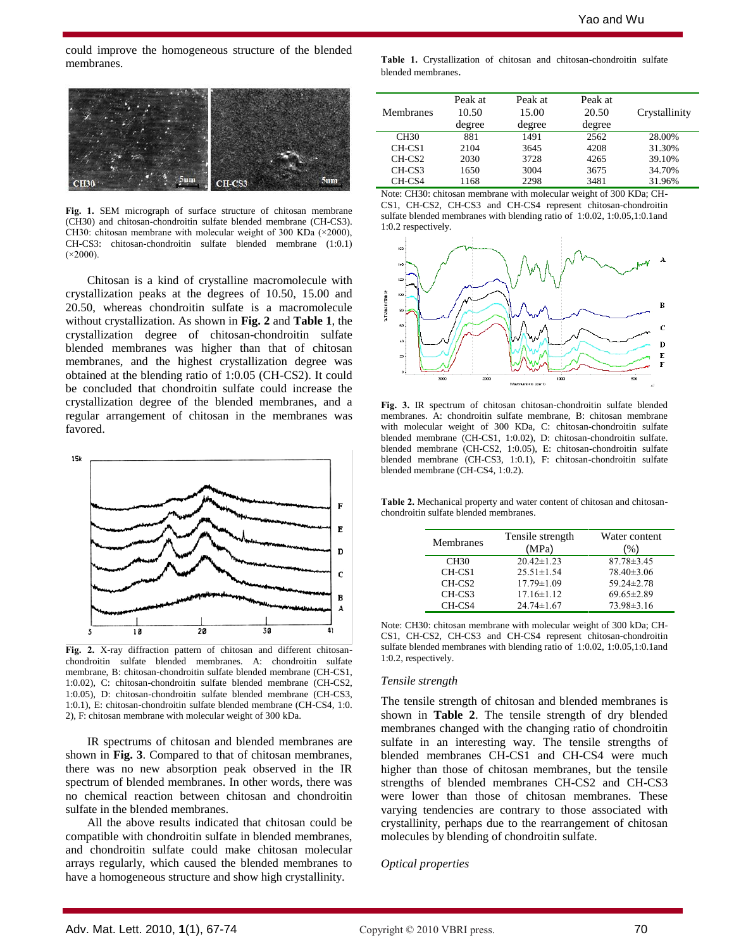could improve the homogeneous structure of the blended membranes.



**Fig. 1.** SEM micrograph of surface structure of chitosan membrane (CH30) and chitosan-chondroitin sulfate blended membrane (CH-CS3). CH30: chitosan membrane with molecular weight of 300 KDa (×2000), CH-CS3: chitosan-chondroitin sulfate blended membrane (1:0.1)  $(x2000)$ .

Chitosan is a kind of crystalline macromolecule with crystallization peaks at the degrees of 10.50, 15.00 and 20.50, whereas chondroitin sulfate is a macromolecule without crystallization. As shown in **Fig. 2** and **Table 1**, the crystallization degree of chitosan-chondroitin sulfate blended membranes was higher than that of chitosan membranes, and the highest crystallization degree was obtained at the blending ratio of 1:0.05 (CH-CS2). It could be concluded that chondroitin sulfate could increase the crystallization degree of the blended membranes, and a regular arrangement of chitosan in the membranes was favored.



**Fig. 2.** X-ray diffraction pattern of chitosan and different chitosanchondroitin sulfate blended membranes. A: chondroitin sulfate membrane, B: chitosan-chondroitin sulfate blended membrane (CH-CS1, 1:0.02), C: chitosan-chondroitin sulfate blended membrane (CH-CS2, 1:0.05), D: chitosan-chondroitin sulfate blended membrane (CH-CS3, 1:0.1), E: chitosan-chondroitin sulfate blended membrane (CH-CS4, 1:0. 2), F: chitosan membrane with molecular weight of 300 kDa.

IR spectrums of chitosan and blended membranes are shown in **Fig. 3**. Compared to that of chitosan membranes, there was no new absorption peak observed in the IR spectrum of blended membranes. In other words, there was no chemical reaction between chitosan and chondroitin sulfate in the blended membranes.

All the above results indicated that chitosan could be compatible with chondroitin sulfate in blended membranes, and chondroitin sulfate could make chitosan molecular arrays regularly, which caused the blended membranes to have a homogeneous structure and show high crystallinity.

**Table 1.** Crystallization of chitosan and chitosan-chondroitin sulfate blended membranes.

| <b>Membranes</b>   | Peak at<br>10.50<br>degree | Peak at<br>15.00<br>degree | Peak at<br>20.50<br>degree | Crystallinity |
|--------------------|----------------------------|----------------------------|----------------------------|---------------|
| CH30               | 881                        | 1491                       | 2562                       | 28.00%        |
| $CH-CS1$           | 2104                       | 3645                       | 4208                       | 31.30%        |
| CH-CS <sub>2</sub> | 2030                       | 3728                       | 4265                       | 39.10%        |
| CH-CS3             | 1650                       | 3004                       | 3675                       | 34.70%        |
| CH-CS4             | 1168                       | 2298                       | 3481                       | 31.96%        |





**Fig. 3.** IR spectrum of chitosan chitosan-chondroitin sulfate blended membranes. A: chondroitin sulfate membrane, B: chitosan membrane with molecular weight of 300 KDa, C: chitosan-chondroitin sulfate blended membrane (CH-CS1, 1:0.02), D: chitosan-chondroitin sulfate. blended membrane (CH-CS2, 1:0.05), E: chitosan-chondroitin sulfate blended membrane (CH-CS3, 1:0.1), F: chitosan-chondroitin sulfate blended membrane (CH-CS4, 1:0.2).

**Table 2.** Mechanical property and water content of chitosan and chitosanchondroitin sulfate blended membranes.

| Membranes          | Tensile strength<br>(MPa) | Water content<br>(% ) |
|--------------------|---------------------------|-----------------------|
| CH <sub>30</sub>   | $20.42 \pm 1.23$          | $87.78 \pm 3.45$      |
| $CH-CS1$           | $25.51 \pm 1.54$          | $78.40 \pm 3.06$      |
| CH-CS <sub>2</sub> | $17.79 \pm 1.09$          | 59.24±2.78            |
| CH-CS3             | $17.16 \pm 1.12$          | $69.65 \pm 2.89$      |
| CH-CS4             | $24.74 \pm 1.67$          | 73.98±3.16            |

Note: CH30: chitosan membrane with molecular weight of 300 kDa; CH-CS1, CH-CS2, CH-CS3 and CH-CS4 represent chitosan-chondroitin sulfate blended membranes with blending ratio of 1:0.02, 1:0.05,1:0.1and 1:0.2, respectively.

#### *Tensile strength*

The tensile strength of chitosan and blended membranes is shown in **Table 2**. The tensile strength of dry blended membranes changed with the changing ratio of chondroitin sulfate in an interesting way. The tensile strengths of blended membranes CH-CS1 and CH-CS4 were much higher than those of chitosan membranes, but the tensile strengths of blended membranes CH-CS2 and CH-CS3 were lower than those of chitosan membranes. These varying tendencies are contrary to those associated with crystallinity, perhaps due to the rearrangement of chitosan molecules by blending of chondroitin sulfate.

### *Optical properties*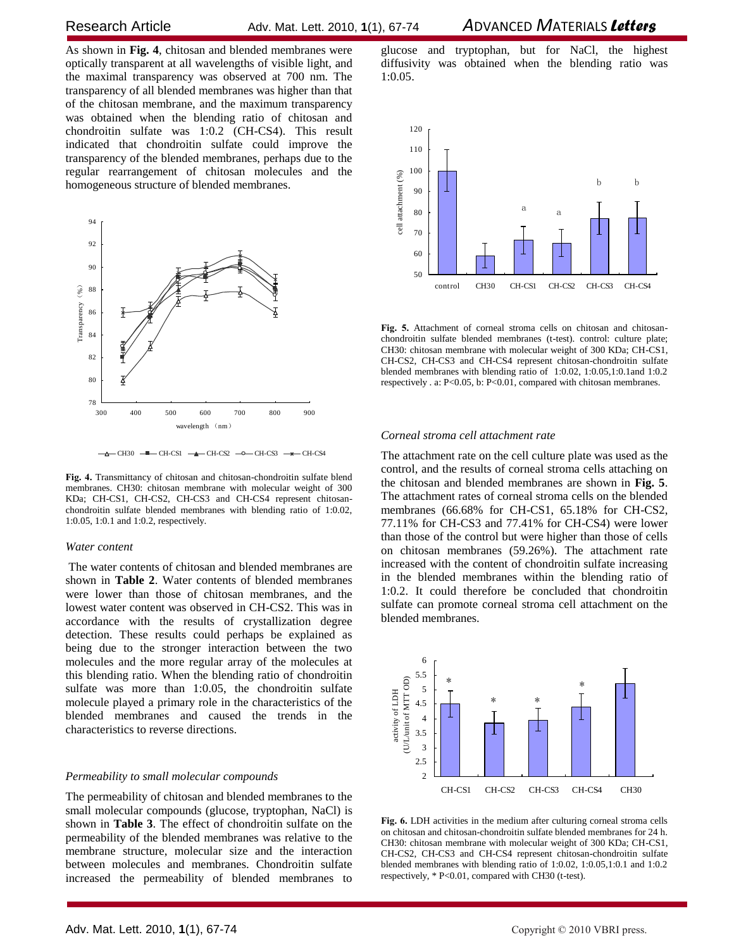As shown in **Fig. 4**, chitosan and blended membranes were optically transparent at all wavelengths of visible light, and the maximal transparency was observed at 700 nm. The transparency of all blended membranes was higher than that of the chitosan membrane, and the maximum transparency was obtained when the blending ratio of chitosan and chondroitin sulfate was 1:0.2 (CH-CS4). This result indicated that chondroitin sulfate could improve the transparency of the blended membranes, perhaps due to the regular rearrangement of chitosan molecules and the homogeneous structure of blended membranes.



 $-\Delta$  CH30  $-\blacksquare$  CH-CS1  $-\blacktriangle$  CH-CS2  $-$  O CH-CS3  $-\Join$  CH-CS4

**Fig. 4.** Transmittancy of chitosan and chitosan-chondroitin sulfate blend membranes. CH30: chitosan membrane with molecular weight of 300 KDa; CH-CS1, CH-CS2, CH-CS3 and CH-CS4 represent chitosanchondroitin sulfate blended membranes with blending ratio of 1:0.02, 1:0.05, 1:0.1 and 1:0.2, respectively.

#### *Water content*

The water contents of chitosan and blended membranes are shown in **Table 2**. Water contents of blended membranes were lower than those of chitosan membranes, and the lowest water content was observed in CH-CS2. This was in accordance with the results of crystallization degree detection. These results could perhaps be explained as being due to the stronger interaction between the two molecules and the more regular array of the molecules at this blending ratio. When the blending ratio of chondroitin sulfate was more than 1:0.05, the chondroitin sulfate molecule played a primary role in the characteristics of the blended membranes and caused the trends in the characteristics to reverse directions.

#### *Permeability to small molecular compounds*

The permeability of chitosan and blended membranes to the small molecular compounds (glucose, tryptophan, NaCl) is shown in **Table 3**. The effect of chondroitin sulfate on the permeability of the blended membranes was relative to the membrane structure, molecular size and the interaction between molecules and membranes. Chondroitin sulfate increased the permeability of blended membranes to

glucose and tryptophan, but for NaCl, the highest diffusivity was obtained when the blending ratio was 1:0.05.



**Fig. 5.** Attachment of corneal stroma cells on chitosan and chitosanchondroitin sulfate blended membranes (t-test). control: culture plate; CH30: chitosan membrane with molecular weight of 300 KDa; CH-CS1, CH-CS2, CH-CS3 and CH-CS4 represent chitosan-chondroitin sulfate blended membranes with blending ratio of 1:0.02, 1:0.05,1:0.1and 1:0.2 respectively . a: P<0.05, b: P<0.01, compared with chitosan membranes.

### *Corneal stroma cell attachment rate*

The attachment rate on the cell culture plate was used as the control, and the results of corneal stroma cells attaching on the chitosan and blended membranes are shown in **Fig. 5**. The attachment rates of corneal stroma cells on the blended membranes (66.68% for CH-CS1, 65.18% for CH-CS2, 77.11% for CH-CS3 and 77.41% for CH-CS4) were lower than those of the control but were higher than those of cells on chitosan membranes (59.26%). The attachment rate increased with the content of chondroitin sulfate increasing in the blended membranes within the blending ratio of 1:0.2. It could therefore be concluded that chondroitin sulfate can promote corneal stroma cell attachment on the blended membranes.



**Fig. 6.** LDH activities in the medium after culturing corneal stroma cells on chitosan and chitosan-chondroitin sulfate blended membranes for 24 h. CH30: chitosan membrane with molecular weight of 300 KDa; CH-CS1, CH-CS2, CH-CS3 and CH-CS4 represent chitosan-chondroitin sulfate blended membranes with blending ratio of 1:0.02, 1:0.05,1:0.1 and 1:0.2 respectively, \* P<0.01, compared with CH30 (t-test).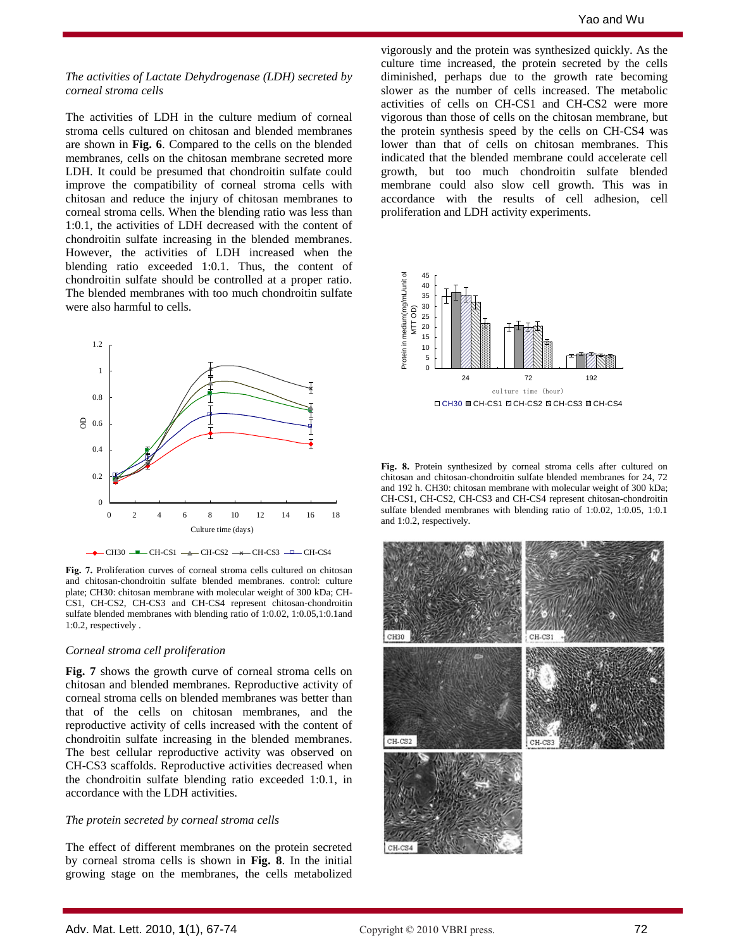### *The activities of Lactate Dehydrogenase (LDH) secreted by corneal stroma cells*

The activities of LDH in the culture medium of corneal stroma cells cultured on chitosan and blended membranes are shown in **Fig. 6**. Compared to the cells on the blended membranes, cells on the chitosan membrane secreted more LDH. It could be presumed that chondroitin sulfate could improve the compatibility of corneal stroma cells with chitosan and reduce the injury of chitosan membranes to corneal stroma cells. When the blending ratio was less than 1:0.1, the activities of LDH decreased with the content of chondroitin sulfate increasing in the blended membranes. However, the activities of LDH increased when the blending ratio exceeded 1:0.1. Thus, the content of chondroitin sulfate should be controlled at a proper ratio. The blended membranes with too much chondroitin sulfate were also harmful to cells.



**Fig. 7.** Proliferation curves of corneal stroma cells cultured on chitosan and chitosan-chondroitin sulfate blended membranes. control: culture plate; CH30: chitosan membrane with molecular weight of 300 kDa; CH-CS1, CH-CS2, CH-CS3 and CH-CS4 represent chitosan-chondroitin sulfate blended membranes with blending ratio of 1:0.02, 1:0.05,1:0.1and 1:0.2, respectively .

#### *Corneal stroma cell proliferation*

**Fig. 7** shows the growth curve of corneal stroma cells on chitosan and blended membranes. Reproductive activity of corneal stroma cells on blended membranes was better than that of the cells on chitosan membranes, and the reproductive activity of cells increased with the content of chondroitin sulfate increasing in the blended membranes. The best cellular reproductive activity was observed on CH-CS3 scaffolds. Reproductive activities decreased when the chondroitin sulfate blending ratio exceeded 1:0.1, in accordance with the LDH activities.

### *The protein secreted by corneal stroma cells*

The effect of different membranes on the protein secreted by corneal stroma cells is shown in **Fig. 8**. In the initial growing stage on the membranes, the cells metabolized

vigorously and the protein was synthesized quickly. As the culture time increased, the protein secreted by the cells diminished, perhaps due to the growth rate becoming slower as the number of cells increased. The metabolic activities of cells on CH-CS1 and CH-CS2 were more vigorous than those of cells on the chitosan membrane, but the protein synthesis speed by the cells on CH-CS4 was lower than that of cells on chitosan membranes. This indicated that the blended membrane could accelerate cell growth, but too much chondroitin sulfate blended membrane could also slow cell growth. This was in accordance with the results of cell adhesion, cell proliferation and LDH activity experiments.



**Fig. 8.** Protein synthesized by corneal stroma cells after cultured on chitosan and chitosan-chondroitin sulfate blended membranes for 24, 72 and 192 h. CH30: chitosan membrane with molecular weight of 300 kDa; CH-CS1, CH-CS2, CH-CS3 and CH-CS4 represent chitosan-chondroitin sulfate blended membranes with blending ratio of 1:0.02, 1:0.05, 1:0.1 and 1:0.2, respectively.

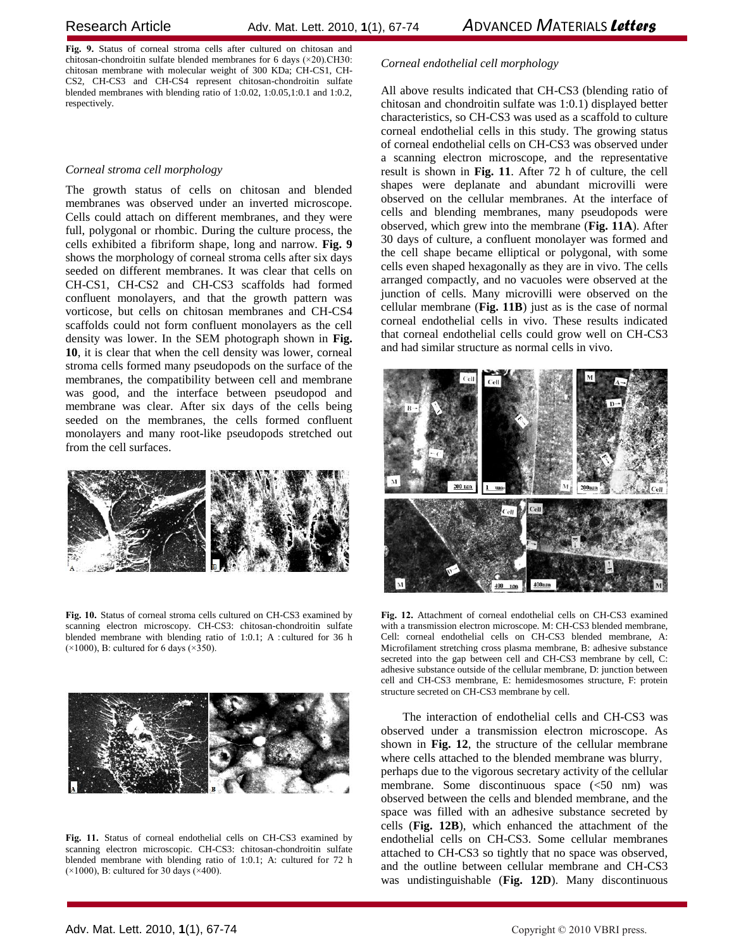**Fig. 9.** Status of corneal stroma cells after cultured on chitosan and chitosan-chondroitin sulfate blended membranes for 6 days (×20).CH30: chitosan membrane with molecular weight of 300 KDa; CH-CS1, CH-CS2, CH-CS3 and CH-CS4 represent chitosan-chondroitin sulfate blended membranes with blending ratio of 1:0.02, 1:0.05,1:0.1 and 1:0.2, respectively.

# *Corneal stroma cell morphology*

The growth status of cells on chitosan and blended membranes was observed under an inverted microscope. Cells could attach on different membranes, and they were full, polygonal or rhombic. During the culture process, the cells exhibited a fibriform shape, long and narrow. **Fig. 9** shows the morphology of corneal stroma cells after six days seeded on different membranes. It was clear that cells on CH-CS1, CH-CS2 and CH-CS3 scaffolds had formed confluent monolayers, and that the growth pattern was vorticose, but cells on chitosan membranes and CH-CS4 scaffolds could not form confluent monolayers as the cell density was lower. In the SEM photograph shown in **Fig. 10**, it is clear that when the cell density was lower, corneal stroma cells formed many pseudopods on the surface of the membranes, the compatibility between cell and membrane was good, and the interface between pseudopod and membrane was clear. After six days of the cells being seeded on the membranes, the cells formed confluent monolayers and many root-like pseudopods stretched out from the cell surfaces.



**Fig. 10.** Status of corneal stroma cells cultured on CH-CS3 examined by scanning electron microscopy. CH-CS3: chitosan-chondroitin sulfate blended membrane with blending ratio of 1:0.1; A : cultured for 36 h  $(\times 1000)$ , B: cultured for 6 days  $(\times 350)$ .



**Fig. 11.** Status of corneal endothelial cells on CH-CS3 examined by scanning electron microscopic. CH-CS3: chitosan-chondroitin sulfate blended membrane with blending ratio of 1:0.1; A: cultured for 72 h (×1000), B: cultured for 30 days (×400).

# *Corneal endothelial cell morphology*

All above results indicated that CH-CS3 (blending ratio of chitosan and chondroitin sulfate was 1:0.1) displayed better characteristics, so CH-CS3 was used as a scaffold to culture corneal endothelial cells in this study. The growing status of corneal endothelial cells on CH-CS3 was observed under a scanning electron microscope, and the representative result is shown in **Fig. 11**. After 72 h of culture, the cell shapes were deplanate and abundant microvilli were observed on the cellular membranes. At the interface of cells and blending membranes, many pseudopods were observed, which grew into the membrane (**Fig. 11A**). After 30 days of culture, a confluent monolayer was formed and the cell shape became elliptical or polygonal, with some cells even shaped hexagonally as they are in vivo. The cells arranged compactly, and no vacuoles were observed at the junction of cells. Many microvilli were observed on the cellular membrane (**Fig. 11B**) just as is the case of normal corneal endothelial cells in vivo. These results indicated that corneal endothelial cells could grow well on CH-CS3 and had similar structure as normal cells in vivo.



**Fig. 12.** Attachment of corneal endothelial cells on CH-CS3 examined with a transmission electron microscope. M: CH-CS3 blended membrane, Cell: corneal endothelial cells on CH-CS3 blended membrane, A: Microfilament stretching cross plasma membrane, B: adhesive substance secreted into the gap between cell and CH-CS3 membrane by cell, C: adhesive substance outside of the cellular membrane, D: junction between cell and CH-CS3 membrane, E: hemidesmosomes structure, F: protein structure secreted on CH-CS3 membrane by cell.

The interaction of endothelial cells and CH-CS3 was observed under a transmission electron microscope. As shown in **Fig. 12**, the structure of the cellular membrane where cells attached to the blended membrane was blurry, perhaps due to the vigorous secretary activity of the cellular membrane. Some discontinuous space (<50 nm) was observed between the cells and blended membrane, and the space was filled with an adhesive substance secreted by cells (**Fig. 12B**), which enhanced the attachment of the endothelial cells on CH-CS3. Some cellular membranes attached to CH-CS3 so tightly that no space was observed, and the outline between cellular membrane and CH-CS3 was undistinguishable (**Fig. 12D**). Many discontinuous